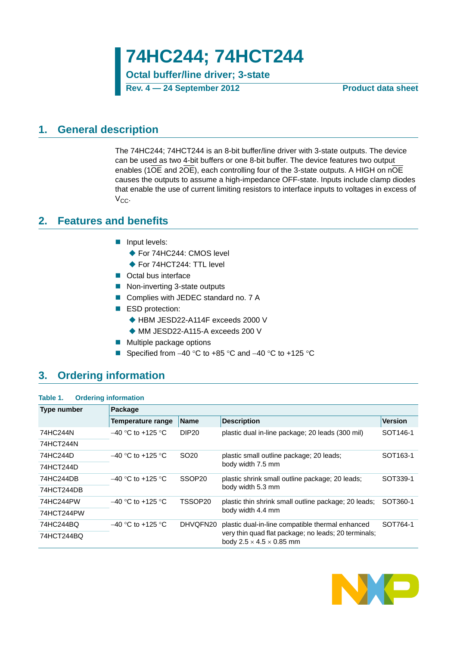**74HC244; 74HCT244**

**Octal buffer/line driver; 3-state**

**Rev. 4 — 24 September 2012 Product data sheet**

## <span id="page-0-0"></span>**1. General description**

The 74HC244; 74HCT244 is an 8-bit buffer/line driver with 3-state outputs. The device can be used as two 4-bit buffers or one 8-bit buffer. The device features two output enables (1OE and 2OE), each controlling four of the 3-state outputs. A HIGH on nOE causes the outputs to assume a high-impedance OFF-state. Inputs include clamp diodes that enable the use of current limiting resistors to interface inputs to voltages in excess of V<sub>cc</sub>.

## <span id="page-0-1"></span>**2. Features and benefits**

- **Input levels:** 
	- ◆ For 74HC244: CMOS level
	- ◆ For 74HCT244: TTL level
- Octal bus interface
- Non-inverting 3-state outputs
- Complies with JEDEC standard no. 7 A
- ESD protection:
	- ◆ HBM JESD22-A114F exceeds 2000 V
		- ◆ MM JESD22-A115-A exceeds 200 V
- $\blacksquare$  Multiple package options
- Specified from  $-40$  °C to  $+85$  °C and  $-40$  °C to  $+125$  °C

# <span id="page-0-2"></span>**3. Ordering information**

#### **Table 1. Ordering information**

| <b>Type number</b> | Package              |                    |                                                                                              |                      |
|--------------------|----------------------|--------------------|----------------------------------------------------------------------------------------------|----------------------|
|                    | Temperature range    | <b>Name</b>        | <b>Description</b>                                                                           | <b>Version</b>       |
| 74HC244N           | $-40$ °C to +125 °C  | DIP <sub>20</sub>  | plastic dual in-line package; 20 leads (300 mil)                                             | SOT146-1             |
| 74HCT244N          |                      |                    |                                                                                              |                      |
| 74HC244D           | $-40$ °C to +125 °C  | SO <sub>20</sub>   | plastic small outline package; 20 leads;                                                     | SOT <sub>163-1</sub> |
| 74HCT244D          |                      |                    | body width 7.5 mm                                                                            |                      |
| 74HC244DB          | $-40$ °C to +125 °C. | SSOP <sub>20</sub> | plastic shrink small outline package; 20 leads;                                              | SOT339-1             |
| 74HCT244DB         |                      |                    | body width 5.3 mm                                                                            |                      |
| 74HC244PW          | $-40$ °C to +125 °C. | TSSOP20            | plastic thin shrink small outline package; 20 leads;                                         | SOT360-1             |
| 74HCT244PW         |                      |                    | body width 4.4 mm                                                                            |                      |
| 74HC244BQ          | $-40$ °C to +125 °C  | DHVQFN20           | plastic dual-in-line compatible thermal enhanced                                             | SOT764-1             |
| 74HCT244BQ         |                      |                    | very thin quad flat package; no leads; 20 terminals;<br>body $2.5 \times 4.5 \times 0.85$ mm |                      |

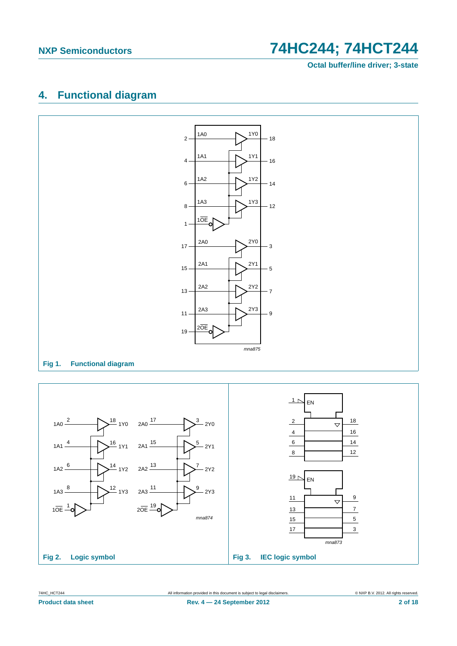**Octal buffer/line driver; 3-state**

# <span id="page-1-0"></span>**4. Functional diagram**



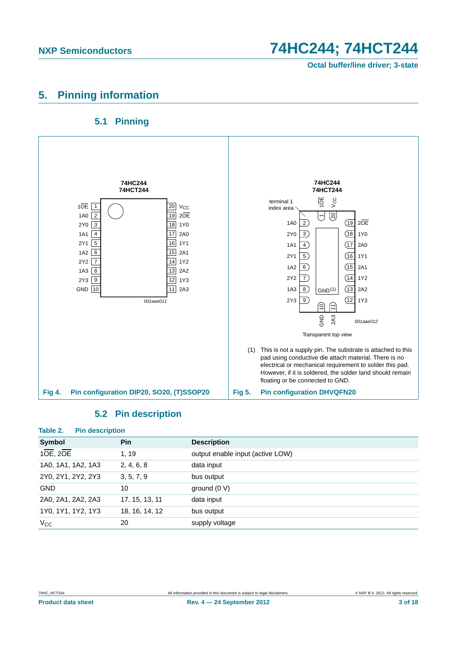**Octal buffer/line driver; 3-state**

# <span id="page-2-0"></span>**5. Pinning information**

## **5.1 Pinning**

<span id="page-2-1"></span>

## **5.2 Pin description**

<span id="page-2-2"></span>

| Table 2.<br><b>Pin description</b> |                |                                  |
|------------------------------------|----------------|----------------------------------|
| Symbol                             | <b>Pin</b>     | <b>Description</b>               |
| 10E, 20E                           | 1, 19          | output enable input (active LOW) |
| 1A0, 1A1, 1A2, 1A3                 | 2, 4, 6, 8     | data input                       |
| 2Y0, 2Y1, 2Y2, 2Y3                 | 3, 5, 7, 9     | bus output                       |
| <b>GND</b>                         | 10             | ground $(0 V)$                   |
| 2A0, 2A1, 2A2, 2A3                 | 17, 15, 13, 11 | data input                       |
| 1Y0, 1Y1, 1Y2, 1Y3                 | 18, 16, 14, 12 | bus output                       |
| $V_{\rm CC}$                       | 20             | supply voltage                   |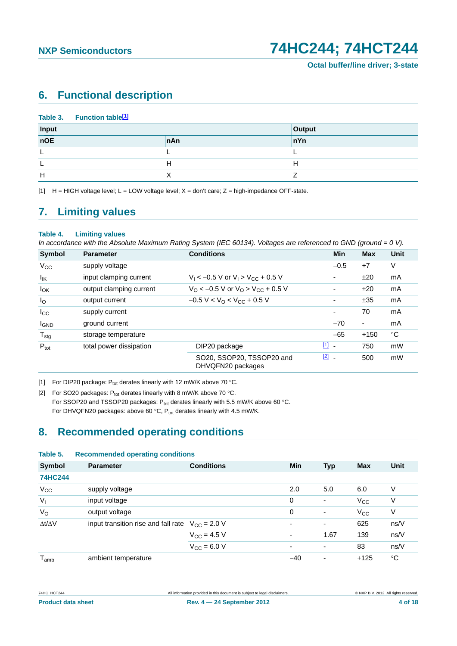# <span id="page-3-3"></span>**6. Functional description**

|       | Table 3. Function table <sup>[1]</sup> |     |        |
|-------|----------------------------------------|-----|--------|
| Input |                                        |     | Output |
| nOE   |                                        | nAn | nYn    |
|       |                                        |     |        |
|       |                                        | н   | Н      |
| Н     |                                        |     |        |

<span id="page-3-0"></span>[1]  $H = HIGH$  voltage level;  $L = LOW$  voltage level;  $X = don't$  care;  $Z = high$ -impedance OFF-state.

# <span id="page-3-4"></span>**7. Limiting values**

#### **Table 4. Limiting values**

*In accordance with the Absolute Maximum Rating System (IEC 60134). Voltages are referenced to GND (ground = 0 V).*

| <b>Symbol</b>     | <b>Parameter</b>        | <b>Conditions</b>                                             | <b>Min</b>                              | <b>Max</b> | <b>Unit</b> |
|-------------------|-------------------------|---------------------------------------------------------------|-----------------------------------------|------------|-------------|
| $V_{CC}$          | supply voltage          |                                                               | $-0.5$                                  | $+7$       | V           |
| $I_{\mathsf{IK}}$ | input clamping current  | $V_1$ < -0.5 V or $V_1$ > $V_{CC}$ + 0.5 V                    | $\overline{\phantom{a}}$                | ±20        | mA          |
| $I_{OK}$          | output clamping current | $V_{\rm O}$ < -0.5 V or $V_{\rm O}$ > V <sub>CC</sub> + 0.5 V |                                         | ±20        | mA          |
| $I_{\rm O}$       | output current          | $-0.5 V < VO < VCC + 0.5 V$                                   | $\overline{\phantom{a}}$                | ±35        | mA          |
| $I_{\rm CC}$      | supply current          |                                                               | $\overline{\phantom{a}}$                | 70         | mA          |
| <b>I</b> GND      | ground current          |                                                               | $-70$                                   | ۰          | mA          |
| $T_{\text{stg}}$  | storage temperature     |                                                               | $-65$                                   | $+150$     | $^{\circ}C$ |
| $P_{\text{tot}}$  | total power dissipation | DIP20 package                                                 | $\boxed{1}$<br>$\overline{\phantom{a}}$ | 750        | mW          |
|                   |                         | SO20, SSOP20, TSSOP20 and<br>DHVQFN20 packages                | $\boxed{2}$ -                           | 500        | mW          |

<span id="page-3-2"></span>[1] For DIP20 package:  $P_{tot}$  derates linearly with 12 mW/K above 70 °C.

<span id="page-3-1"></span>[2] For SO20 packages:  $P_{\text{tot}}$  derates linearly with 8 mW/K above 70 °C. For SSOP20 and TSSOP20 packages:  $P_{tot}$  derates linearly with 5.5 mW/K above 60 °C. For DHVQFN20 packages: above 60 °C,  $P_{tot}$  derates linearly with 4.5 mW/K.

# <span id="page-3-5"></span>**8. Recommended operating conditions**

| Table 5.            | <b>Recommended operating conditions</b>              |                      |             |                          |              |             |  |  |
|---------------------|------------------------------------------------------|----------------------|-------------|--------------------------|--------------|-------------|--|--|
| <b>Symbol</b>       | <b>Parameter</b>                                     | <b>Conditions</b>    | Min         | <b>Typ</b>               | <b>Max</b>   | Unit        |  |  |
| <b>74HC244</b>      |                                                      |                      |             |                          |              |             |  |  |
| $V_{CC}$            | supply voltage                                       |                      | 2.0         | 5.0                      | 6.0          | ٧           |  |  |
| V <sub>1</sub>      | input voltage                                        |                      | $\mathbf 0$ | $\overline{\phantom{a}}$ | $V_{\rm CC}$ | V           |  |  |
| $V_{\rm O}$         | output voltage                                       |                      | $\mathbf 0$ | $\overline{\phantom{a}}$ | $V_{CC}$     | ٧           |  |  |
| $\Delta t/\Delta V$ | input transition rise and fall rate $V_{CC} = 2.0 V$ |                      | ٠           | $\overline{\phantom{a}}$ | 625          | ns/V        |  |  |
|                     |                                                      | $V_{CC} = 4.5 V$     | ٠           | 1.67                     | 139          | ns/V        |  |  |
|                     |                                                      | $V_{\rm CC} = 6.0 V$ | ٠           | $\overline{\phantom{a}}$ | 83           | ns/V        |  |  |
| $T_{amb}$           | ambient temperature                                  |                      | $-40$       | $\overline{\phantom{0}}$ | $+125$       | $^{\circ}C$ |  |  |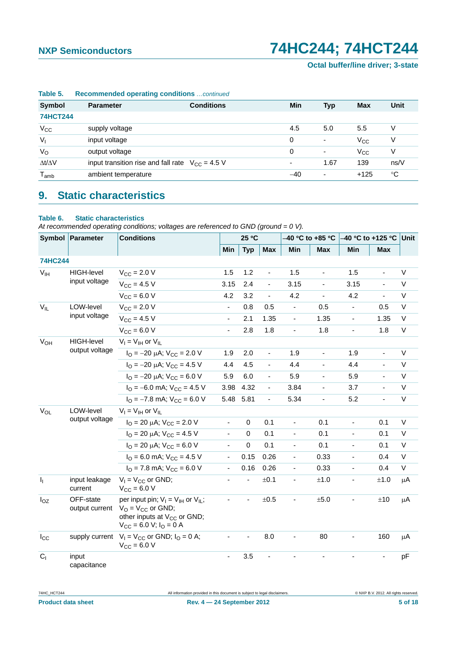| rapie 5.            | Recommended operating conditions continued |                                                      |                          |                          |              |      |  |  |  |  |
|---------------------|--------------------------------------------|------------------------------------------------------|--------------------------|--------------------------|--------------|------|--|--|--|--|
| <b>Symbol</b>       | <b>Parameter</b>                           | <b>Conditions</b>                                    | Min                      | <b>Typ</b>               | <b>Max</b>   | Unit |  |  |  |  |
| <b>74HCT244</b>     |                                            |                                                      |                          |                          |              |      |  |  |  |  |
| $V_{CC}$            | supply voltage                             |                                                      | 4.5                      | 5.0                      | 5.5          | V    |  |  |  |  |
| V <sub>1</sub>      | input voltage                              |                                                      | $\Omega$                 | $\overline{\phantom{a}}$ | $V_{\rm CC}$ | V    |  |  |  |  |
| $V_{\rm O}$         | output voltage                             |                                                      | $\Omega$                 | $\overline{\phantom{a}}$ | $V_{CC}$     | V    |  |  |  |  |
| $\Delta t/\Delta V$ |                                            | input transition rise and fall rate $V_{CC} = 4.5 V$ | $\overline{\phantom{0}}$ | 1.67                     | 139          | ns/V |  |  |  |  |
| $T_{\mathsf{amb}}$  | ambient temperature                        |                                                      | $-40$                    | ۰                        | $+125$       | °C   |  |  |  |  |
|                     |                                            |                                                      |                          |                          |              |      |  |  |  |  |

#### **Table 5. Recommended operating conditions** *…continued*

# <span id="page-4-0"></span>**9. Static characteristics**

#### **Table 6. Static characteristics**

*At recommended operating conditions; voltages are referenced to GND (ground = 0 V).*

|                 | Symbol Parameter            | <b>Conditions</b>                                                                                                                                                  |                | 25 °C       |                | –40 °C to +85 °C         |                          | –40 °C to +125 °C <i>Unit</i> |                          |        |
|-----------------|-----------------------------|--------------------------------------------------------------------------------------------------------------------------------------------------------------------|----------------|-------------|----------------|--------------------------|--------------------------|-------------------------------|--------------------------|--------|
|                 |                             |                                                                                                                                                                    | Min            | <b>Typ</b>  | <b>Max</b>     | Min                      | <b>Max</b>               | Min                           | <b>Max</b>               |        |
| <b>74HC244</b>  |                             |                                                                                                                                                                    |                |             |                |                          |                          |                               |                          |        |
| V <sub>IH</sub> | <b>HIGH-level</b>           | $V_{\text{CC}} = 2.0 V$                                                                                                                                            | 1.5            | 1.2         | ä,             | 1.5                      | $\overline{\phantom{a}}$ | 1.5                           | $\blacksquare$           | $\vee$ |
|                 | input voltage               | $V_{CC}$ = 4.5 V                                                                                                                                                   | 3.15           | 2.4         | ÷,             | 3.15                     | ٠                        | 3.15                          | ÷,                       | $\vee$ |
|                 |                             | $V_{CC} = 6.0 V$                                                                                                                                                   | 4.2            | 3.2         | ÷,             | 4.2                      | $\blacksquare$           | 4.2                           | ÷,                       | $\vee$ |
| $V_{IL}$        | LOW-level                   | $V_{\text{CC}}$ = 2.0 V                                                                                                                                            | $\blacksquare$ | 0.8         | 0.5            | $\blacksquare$           | 0.5                      |                               | 0.5                      | $\vee$ |
|                 | input voltage               | $V_{CC} = 4.5 V$                                                                                                                                                   | $\frac{1}{2}$  | 2.1         | 1.35           | $\blacksquare$           | 1.35                     | $\frac{1}{2}$                 | 1.35                     | V      |
|                 |                             | $V_{CC}$ = 6.0 V                                                                                                                                                   | $\blacksquare$ | 2.8         | 1.8            | $\blacksquare$           | 1.8                      |                               | 1.8                      | $\vee$ |
| $V_{OH}$        | <b>HIGH-level</b>           | $V_I = V_{IH}$ or $V_{II}$                                                                                                                                         |                |             |                |                          |                          |                               |                          |        |
|                 | output voltage              | $I_{\text{O}} = -20 \mu\text{A}$ ; $V_{\text{CC}} = 2.0 \text{ V}$                                                                                                 | 1.9            | 2.0         | $\blacksquare$ | 1.9                      | $\overline{\phantom{a}}$ | 1.9                           | $\overline{\phantom{0}}$ | $\vee$ |
|                 |                             | $I_{\text{O}} = -20 \mu\text{A}$ ; $V_{\text{CC}} = 4.5 \text{ V}$                                                                                                 | 4.4            | 4.5         | ÷,             | 4.4                      | $\overline{\phantom{0}}$ | 4.4                           | $\blacksquare$           | $\vee$ |
|                 |                             | $I_{\Omega} = -20 \mu A$ ; $V_{\text{CC}} = 6.0 \text{ V}$                                                                                                         | 5.9            | 6.0         | $\blacksquare$ | 5.9                      | $\overline{\phantom{a}}$ | 5.9                           |                          | $\vee$ |
|                 |                             | $I_{\Omega}$ = -6.0 mA; $V_{\text{CC}}$ = 4.5 V                                                                                                                    | 3.98           | 4.32        | ÷,             | 3.84                     |                          | 3.7                           |                          | $\vee$ |
|                 |                             | $I_{\text{O}} = -7.8$ mA; $V_{\text{CC}} = 6.0$ V                                                                                                                  |                | 5.48 5.81   | ÷,             | 5.34                     | ä,                       | 5.2                           | ä,                       | $\vee$ |
| $V_{OL}$        | LOW-level<br>output voltage | $V_I = V_{IH}$ or $V_{IL}$                                                                                                                                         |                |             |                |                          |                          |                               |                          |        |
|                 |                             | $I_{\text{O}} = 20 \mu\text{A}$ ; $V_{\text{CC}} = 2.0 \text{ V}$                                                                                                  | $\blacksquare$ | 0           | 0.1            | $\blacksquare$           | 0.1                      | $\blacksquare$                | 0.1                      | V      |
|                 |                             | $I_{\text{O}}$ = 20 µA; $V_{\text{CC}}$ = 4.5 V                                                                                                                    |                | $\Omega$    | 0.1            | $\blacksquare$           | 0.1                      |                               | 0.1                      | $\vee$ |
|                 |                             | $I_{\text{O}}$ = 20 µA; $V_{\text{CC}}$ = 6.0 V                                                                                                                    | $\blacksquare$ | $\mathbf 0$ | 0.1            | $\overline{\phantom{a}}$ | 0.1                      | ٠                             | 0.1                      | V      |
|                 |                             | $I_{\Omega}$ = 6.0 mA; $V_{\text{CC}}$ = 4.5 V                                                                                                                     | $\blacksquare$ | 0.15        | 0.26           | $\overline{\phantom{a}}$ | 0.33                     |                               | 0.4                      | $\vee$ |
|                 |                             | $I_{\Omega}$ = 7.8 mA; $V_{\text{CC}}$ = 6.0 V                                                                                                                     | $\blacksquare$ | 0.16        | 0.26           | $\blacksquare$           | 0.33                     |                               | 0.4                      | $\vee$ |
| $I_1$           | input leakage<br>current    | $V_1 = V_{CC}$ or GND;<br>$V_{CC}$ = 6.0 V                                                                                                                         |                |             | ±0.1           | $\overline{\phantom{0}}$ | $\pm 1.0$                |                               | ±1.0                     | μA     |
| $I_{OZ}$        | OFF-state<br>output current | per input pin; $V_1 = V_{1H}$ or $V_{1L}$ ;<br>$V_O = V_{CC}$ or GND;<br>other inputs at V <sub>CC</sub> or GND;<br>$V_{\text{CC}} = 6.0 V$ ; $I_{\text{O}} = 0 A$ |                |             | $\pm 0.5$      | $\blacksquare$           | ±5.0                     |                               | ±10                      | μA     |
| $I_{\rm CC}$    |                             | supply current $V_1 = V_{CC}$ or GND; $I_0 = 0$ A;<br>$V_{CC} = 6.0 V$                                                                                             |                |             | 8.0            | $\blacksquare$           | 80                       |                               | 160                      | μA     |
| $C_{1}$         | input<br>capacitance        |                                                                                                                                                                    |                | 3.5         |                |                          |                          |                               |                          | рF     |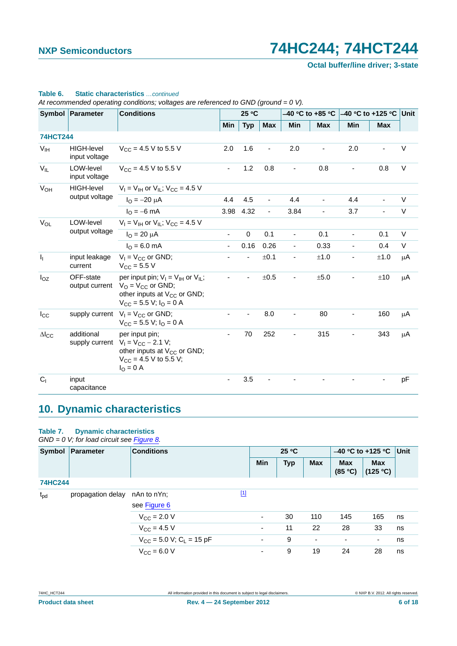**Octal buffer/line driver; 3-state**

|                           | Symbol Parameter                   | <b>Conditions</b>                                                                                                                                           |                | 25 °C       |            | –40 °C to +85 °C             |                          | –40 °C to +125 °C ∣Unit  |                |         |
|---------------------------|------------------------------------|-------------------------------------------------------------------------------------------------------------------------------------------------------------|----------------|-------------|------------|------------------------------|--------------------------|--------------------------|----------------|---------|
|                           |                                    |                                                                                                                                                             | Min            | <b>Typ</b>  | <b>Max</b> | Min                          | <b>Max</b>               | Min                      | <b>Max</b>     |         |
| <b>74HCT244</b>           |                                    |                                                                                                                                                             |                |             |            |                              |                          |                          |                |         |
| V <sub>IH</sub>           | <b>HIGH-level</b><br>input voltage | $V_{CC}$ = 4.5 V to 5.5 V                                                                                                                                   | 2.0            | 1.6         |            | 2.0                          |                          | 2.0                      |                | V       |
| $V_{IL}$                  | LOW-level<br>input voltage         | $V_{CC}$ = 4.5 V to 5.5 V                                                                                                                                   | $\blacksquare$ | 1.2         | 0.8        | $\qquad \qquad \blacksquare$ | 0.8                      |                          | 0.8            | $\vee$  |
| <b>V<sub>OH</sub></b>     | <b>HIGH-level</b>                  | $V_1 = V_{1H}$ or $V_{1L}$ ; $V_{CC} = 4.5$ V                                                                                                               |                |             |            |                              |                          |                          |                |         |
|                           | output voltage                     | $I_{\text{O}} = -20 \mu A$                                                                                                                                  | 4.4            | 4.5         | ÷,         | 4.4                          | $\blacksquare$           | 4.4                      | $\blacksquare$ | V       |
|                           |                                    | $I_{\Omega} = -6$ mA                                                                                                                                        | 3.98           | 4.32        | ÷,         | 3.84                         | $\overline{\phantom{a}}$ | 3.7                      | $\blacksquare$ | V       |
| $V_{OL}$                  | LOW-level                          | $V_1 = V_{1H}$ or $V_{1L}$ ; $V_{CC} = 4.5$ V                                                                                                               |                |             |            |                              |                          |                          |                |         |
|                           | output voltage                     | $I_{O} = 20 \mu A$                                                                                                                                          | $\blacksquare$ | $\mathbf 0$ | 0.1        | ä,                           | 0.1                      | $\blacksquare$           | 0.1            | V       |
|                           |                                    | $I_{\Omega} = 6.0$ mA                                                                                                                                       |                | 0.16        | 0.26       | $\overline{\phantom{a}}$     | 0.33                     | $\blacksquare$           | 0.4            | V       |
| $\mathbf{I}_{\mathbf{I}}$ | input leakage<br>current           | $V_1 = V_{CC}$ or GND;<br>$V_{\text{CC}} = 5.5 V$                                                                                                           |                |             | ±0.1       | $\blacksquare$               | ±1.0                     | $\overline{\phantom{0}}$ | ±1.0           | $\mu$ A |
| $I_{OZ}$                  | OFF-state<br>output current        | per input pin; $V_1 = V_{1H}$ or $V_{1I}$ ;<br>$V_O = V_{CC}$ or GND;<br>other inputs at V <sub>CC</sub> or GND;<br>$V_{\rm CC}$ = 5.5 V; $I_{\rm O}$ = 0 A |                |             | $\pm 0.5$  | $\overline{\phantom{m}}$     | ±5.0                     |                          | ±10            | μA      |
| $I_{\rm CC}$              |                                    | supply current $V_1 = V_{CC}$ or GND;<br>$V_{\text{CC}} = 5.5$ V; $I_{\text{O}} = 0$ A                                                                      |                |             | 8.0        | $\qquad \qquad \blacksquare$ | 80                       |                          | 160            | μA      |
| $\Delta$ <sub>cc</sub>    | additional                         | per input pin;<br>supply current $V_1 = V_{CC} - 2.1 V$ ;<br>other inputs at V <sub>CC</sub> or GND;<br>$V_{CC}$ = 4.5 V to 5.5 V;<br>$I_{\rm O} = 0$ A     |                | 70          | 252        | ä,                           | 315                      |                          | 343            | $\mu$ A |
| C <sub>1</sub>            | input<br>capacitance               |                                                                                                                                                             |                | 3.5         |            |                              |                          |                          |                | pF      |

#### **Table 6. Static characteristics** *…continued*

*At recommended operating conditions; voltages are referenced to GND (ground = 0 V).*

# <span id="page-5-0"></span>**10. Dynamic characteristics**

#### **Table 7. Dynamic characteristics**

#### *GND = 0 V; for load circuit see [Figure 8](#page-8-0).*

| Symbol         | Parameter         | <b>Conditions</b>                        |             | 25 °C      |            |                          | $-40$ °C to +125 °C      | Unit                   |    |
|----------------|-------------------|------------------------------------------|-------------|------------|------------|--------------------------|--------------------------|------------------------|----|
|                |                   |                                          |             | <b>Min</b> | <b>Typ</b> | <b>Max</b>               | <b>Max</b><br>(85 °C)    | <b>Max</b><br>(125 °C) |    |
| <b>74HC244</b> |                   |                                          |             |            |            |                          |                          |                        |    |
| $t_{\rm pd}$   | propagation delay | nAn to nYn;                              | $\boxed{1}$ |            |            |                          |                          |                        |    |
|                |                   | see Figure 6                             |             |            |            |                          |                          |                        |    |
|                |                   | $V_{CC}$ = 2.0 V                         |             |            | 30         | 110                      | 145                      | 165                    | ns |
|                |                   | $V_{\rm CC} = 4.5 V$                     |             | ۰          | 11         | 22                       | 28                       | 33                     | ns |
|                |                   | $V_{CC}$ = 5.0 V; C <sub>L</sub> = 15 pF |             | ۰          | 9          | $\overline{\phantom{a}}$ | $\overline{\phantom{a}}$ | ۰                      | ns |
|                |                   | $V_{CC} = 6.0 V$                         |             |            | 9          | 19                       | 24                       | 28                     | ns |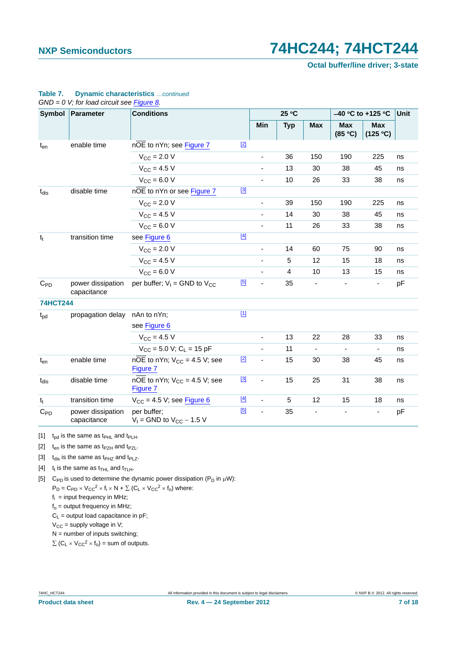**Octal buffer/line driver; 3-state**

|                 | Symbol Parameter                 | <b>Conditions</b>                                          |       |                          | 25 °C      |                          | $-40$ °C to +125 °C      | Unit                     |                        |
|-----------------|----------------------------------|------------------------------------------------------------|-------|--------------------------|------------|--------------------------|--------------------------|--------------------------|------------------------|
|                 |                                  |                                                            |       | Min                      | <b>Typ</b> | <b>Max</b>               | <b>Max</b><br>(85 °C)    |                          | <b>Max</b><br>(125 °C) |
| $t_{en}$        | enable time                      | nOE to nYn; see Figure 7                                   | $[2]$ |                          |            |                          |                          |                          |                        |
|                 |                                  | $V_{\text{CC}} = 2.0 V$                                    |       | $\blacksquare$           | 36         | 150                      | 190                      | 225                      | ns                     |
|                 |                                  | $V_{CC}$ = 4.5 V                                           |       |                          | 13         | 30                       | 38                       | 45                       | ns                     |
|                 |                                  | $V_{CC}$ = 6.0 V                                           |       | $\blacksquare$           | 10         | 26                       | 33                       | 38                       | ns                     |
| $t_{dis}$       | disable time                     | nOE to nYn or see Figure 7                                 | $[3]$ |                          |            |                          |                          |                          |                        |
|                 |                                  | $V_{\text{CC}} = 2.0 V$                                    |       |                          | 39         | 150                      | 190                      | 225                      | ns                     |
|                 |                                  | $V_{CC} = 4.5 V$                                           |       |                          | 14         | 30                       | 38                       | 45                       | ns                     |
|                 |                                  | $V_{CC}$ = 6.0 V                                           |       | $\overline{\phantom{0}}$ | 11         | 26                       | 33                       | 38                       | ns                     |
| $t_t$           | transition time                  | see Figure 6                                               | $[4]$ |                          |            |                          |                          |                          |                        |
|                 |                                  | $V_{\text{CC}} = 2.0 V$                                    |       |                          | 14         | 60                       | 75                       | 90                       | ns                     |
|                 |                                  | $V_{CC}$ = 4.5 V                                           |       | $\blacksquare$           | 5          | 12                       | 15                       | 18                       | ns                     |
|                 |                                  | $V_{CC}$ = 6.0 V                                           |       |                          | 4          | 10                       | 13                       | 15                       | ns                     |
| $C_{PD}$        | power dissipation<br>capacitance | per buffer; $V_1 =$ GND to $V_{CC}$                        | [5]   | $\overline{\phantom{a}}$ | 35         | $\blacksquare$           | $\overline{\phantom{a}}$ |                          | pF                     |
| <b>74HCT244</b> |                                  |                                                            |       |                          |            |                          |                          |                          |                        |
| $t_{\rm pd}$    | propagation delay                | nAn to nYn;                                                | $[1]$ |                          |            |                          |                          |                          |                        |
|                 |                                  | see Figure 6                                               |       |                          |            |                          |                          |                          |                        |
|                 |                                  | $V_{CC}$ = 4.5 V                                           |       | $\overline{\phantom{a}}$ | 13         | 22                       | 28                       | 33                       | ns                     |
|                 |                                  | $V_{CC}$ = 5.0 V; C <sub>L</sub> = 15 pF                   |       |                          | 11         |                          |                          | $\overline{\phantom{a}}$ | ns                     |
| $t_{en}$        | enable time                      | $n\overline{OE}$ to nYn; $V_{CC}$ = 4.5 V; see<br>Figure 7 | $[2]$ | $\blacksquare$           | 15         | 30                       | 38                       | 45                       | ns                     |
| $t_{dis}$       | disable time                     | nOE to nYn; $V_{CC} = 4.5$ V; see<br>Figure 7              | $[3]$ | $\overline{\phantom{a}}$ | 15         | 25                       | 31                       | 38                       | ns                     |
| $t_t$           | transition time                  | $V_{CC}$ = 4.5 V; see Figure 6                             | $[4]$ | L.                       | 5          | 12                       | 15                       | 18                       | ns                     |
| $C_{PD}$        | power dissipation<br>capacitance | per buffer;<br>$V_1$ = GND to $V_{CC}$ – 1.5 V             | [5]   | ä,                       | 35         | $\overline{\phantom{a}}$ |                          |                          | pF                     |

#### **Table 7. Dynamic characteristics** *…continued GND = 0 V; for load circuit see Figure 8.*

<span id="page-6-0"></span>[1]  $t_{\text{od}}$  is the same as  $t_{\text{PHL}}$  and  $t_{\text{PLH}}$ .

<span id="page-6-1"></span>[2]  $t_{en}$  is the same as  $t_{PZH}$  and  $t_{PZL}$ .

<span id="page-6-2"></span>[3]  $t_{dis}$  is the same as  $t_{PHZ}$  and  $t_{PLZ}$ .

- <span id="page-6-3"></span>[4]  $t_t$  is the same as  $t_{\text{THL}}$  and  $t_{\text{TLH}}$ .
- <span id="page-6-4"></span>[5] C<sub>PD</sub> is used to determine the dynamic power dissipation ( $P_D$  in  $\mu$ W):  $P_D = C_{PD} \times V_{CC}^2 \times f_i \times N + \sum (C_L \times V_{CC}^2 \times f_0)$  where:

 $f_i$  = input frequency in MHz;

 $f<sub>o</sub>$  = output frequency in MHz;

 $C_L$  = output load capacitance in pF;

 $V_{CC}$  = supply voltage in V;

 $N =$  number of inputs switching;

 $\sum$  (C<sub>L</sub> × V<sub>CC</sub><sup>2</sup> × f<sub>o</sub>) = sum of outputs.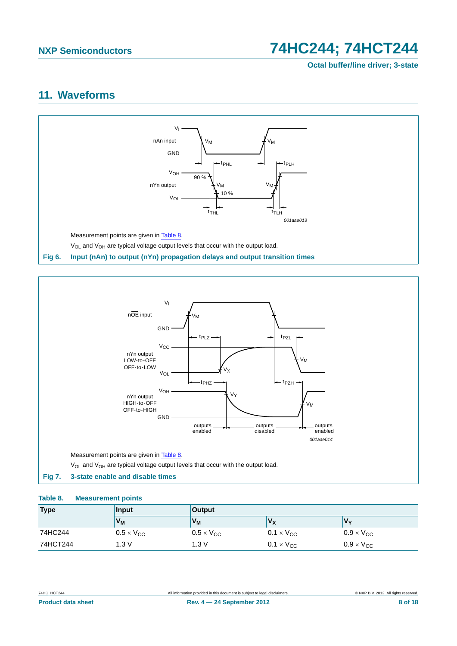**Octal buffer/line driver; 3-state**

# <span id="page-7-3"></span>**11. Waveforms**



<span id="page-7-0"></span>

#### <span id="page-7-2"></span><span id="page-7-1"></span>**Table 8. Measurement points**

| <b>Type</b> | Input                      | <b>Output</b>              |                     |                     |
|-------------|----------------------------|----------------------------|---------------------|---------------------|
|             | V <sub>M</sub>             | V <sub>M</sub>             | Vx                  | V۷                  |
| 74HC244     | $0.5 \times V_{\text{CC}}$ | $0.5 \times V_{\text{CC}}$ | $0.1 \times V_{CC}$ | $0.9 \times V_{CC}$ |
| 74HCT244    | 1.3 V                      | 1.3 V                      | $0.1 \times V_{CC}$ | $0.9 \times V_{CC}$ |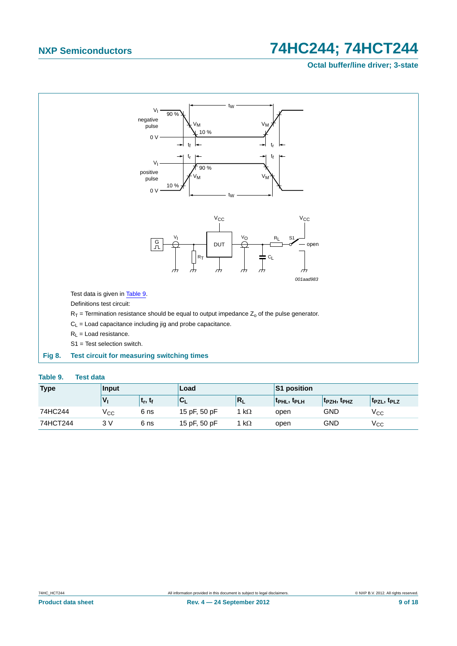## **Octal buffer/line driver; 3-state**



#### <span id="page-8-1"></span><span id="page-8-0"></span>**Table 9. Test data**

| <b>Type</b> | Input |                                | Load         |           | S1 position       |                                     |                                     |  |
|-------------|-------|--------------------------------|--------------|-----------|-------------------|-------------------------------------|-------------------------------------|--|
|             |       | <sup>լ</sup> ե, է <sub>ք</sub> | ◡∟           | N         | <b>TPHL, TPLH</b> | t <sub>PZH</sub> , t <sub>PHZ</sub> | T <sub>PZL</sub> , T <sub>PLZ</sub> |  |
| 74HC244     | ⊻сс   | 6 ns                           | 15 pF, 50 pF | $k\Omega$ | open              | <b>GND</b>                          | $\rm V_{CC}$                        |  |
| 74HCT244    | 3 V   | 6 ns                           | 15 pF, 50 pF | $k\Omega$ | open              | GND                                 | Vcc                                 |  |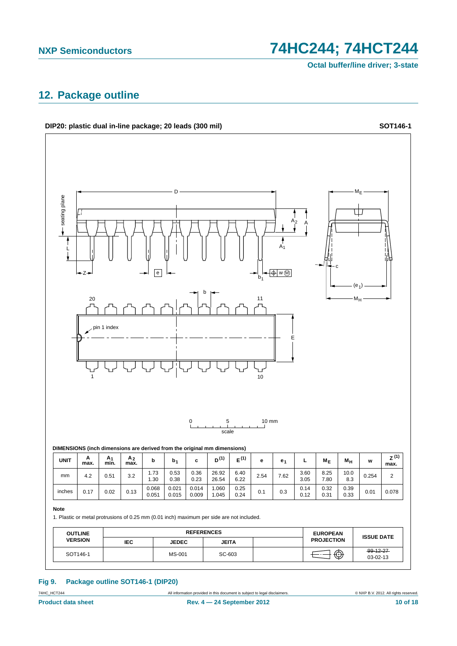**Octal buffer/line driver; 3-state**

# <span id="page-9-0"></span>**12. Package outline**



## **Fig 9. Package outline SOT146-1 (DIP20)**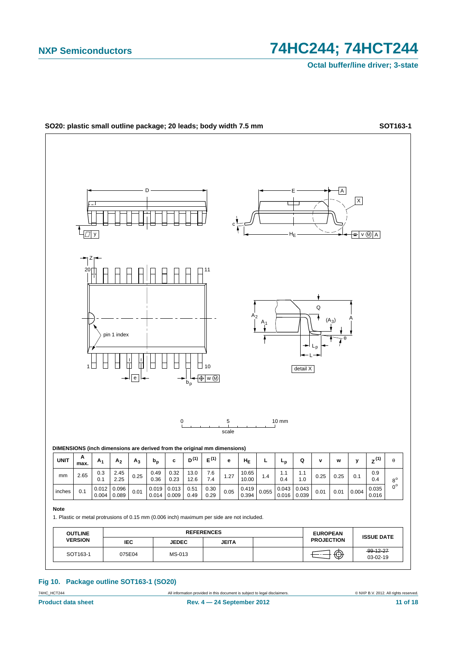

**Fig 10. Package outline SOT163-1 (SO20)**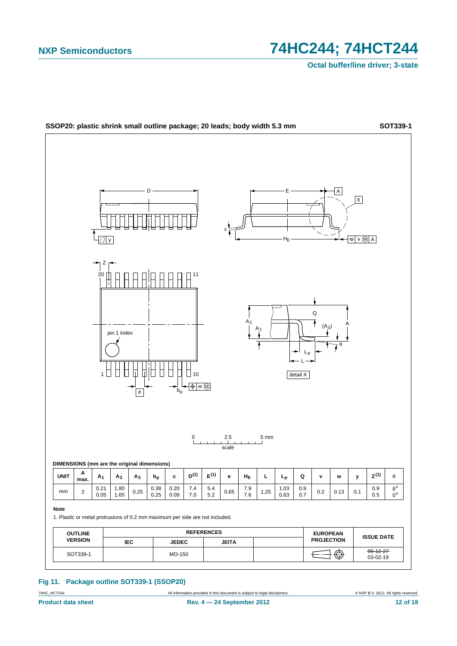

**Fig 11. Package outline SOT339-1 (SSOP20)**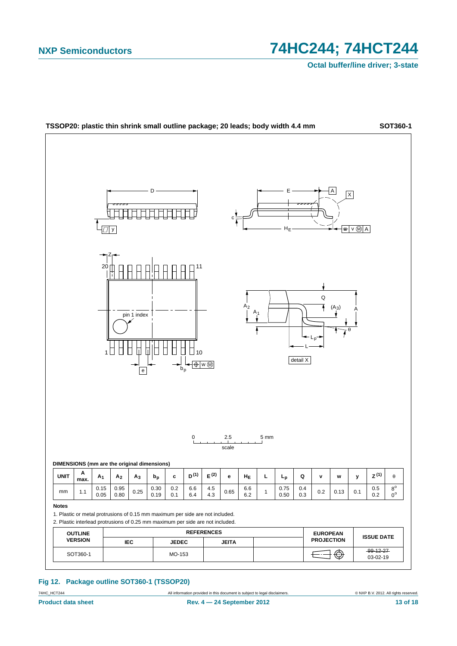

#### **Fig 12. Package outline SOT360-1 (TSSOP20)**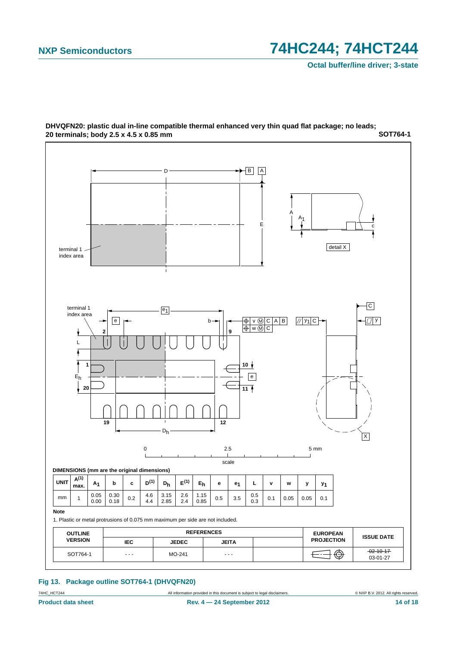

**SOT764-1 DHVQFN20: plastic dual in-line compatible thermal enhanced very thin quad flat package; no leads; 20 terminals; body 2.5 x 4.5 x 0.85 mm**

#### **Fig 13. Package outline SOT764-1 (DHVQFN20)**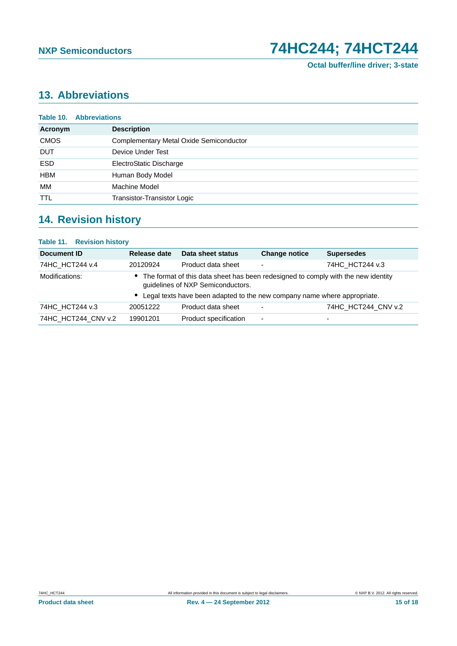# <span id="page-14-0"></span>**13. Abbreviations**

| <b>Table 10. Abbreviations</b> |                                         |  |  |  |
|--------------------------------|-----------------------------------------|--|--|--|
| Acronym                        | <b>Description</b>                      |  |  |  |
| <b>CMOS</b>                    | Complementary Metal Oxide Semiconductor |  |  |  |
| <b>DUT</b>                     | Device Under Test                       |  |  |  |
| <b>ESD</b>                     | ElectroStatic Discharge                 |  |  |  |
| <b>HBM</b>                     | Human Body Model                        |  |  |  |
| МM                             | Machine Model                           |  |  |  |
| <b>TTL</b>                     | Transistor-Transistor Logic             |  |  |  |
|                                |                                         |  |  |  |

# <span id="page-14-1"></span>**14. Revision history**

| <b>Table 11. Revision history</b> |                                                                                                                          |                                                                            |                          |                     |
|-----------------------------------|--------------------------------------------------------------------------------------------------------------------------|----------------------------------------------------------------------------|--------------------------|---------------------|
| Document ID                       | Release date                                                                                                             | Data sheet status                                                          | <b>Change notice</b>     | <b>Supersedes</b>   |
| 74HC_HCT244 v.4                   | 20120924                                                                                                                 | Product data sheet                                                         | $\overline{\phantom{0}}$ | 74HC HCT244 v.3     |
| Modifications:                    | • The format of this data sheet has been redesigned to comply with the new identity<br>guidelines of NXP Semiconductors. |                                                                            |                          |                     |
|                                   |                                                                                                                          | • Legal texts have been adapted to the new company name where appropriate. |                          |                     |
| 74HC HCT244 v.3                   | 20051222                                                                                                                 | Product data sheet                                                         | $\overline{\phantom{0}}$ | 74HC_HCT244_CNV v.2 |
| 74HC HCT244 CNV v.2               | 19901201                                                                                                                 | Product specification                                                      | ۰                        | -                   |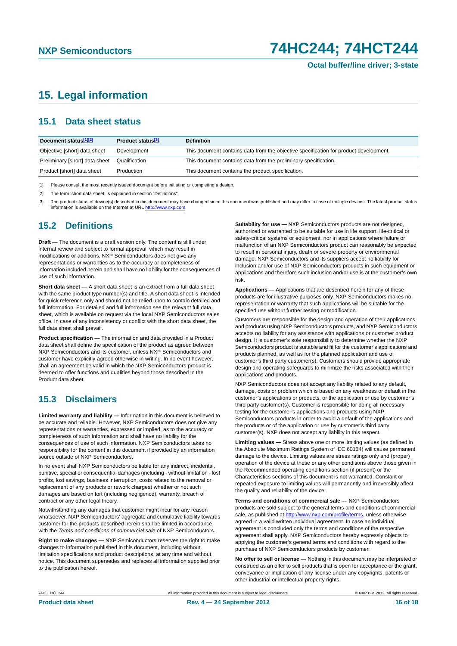# <span id="page-15-0"></span>**15. Legal information**

### <span id="page-15-1"></span>**15.1 Data sheet status**

| Document status[1][2]          | Product status <sup>[3]</sup> | <b>Definition</b>                                                                     |
|--------------------------------|-------------------------------|---------------------------------------------------------------------------------------|
| Objective [short] data sheet   | Development                   | This document contains data from the objective specification for product development. |
| Preliminary [short] data sheet | Qualification                 | This document contains data from the preliminary specification.                       |
| Product [short] data sheet     | Production                    | This document contains the product specification.                                     |

[1] Please consult the most recently issued document before initiating or completing a design.

[2] The term 'short data sheet' is explained in section "Definitions".

[3] The product status of device(s) described in this document may have changed since this document was published and may differ in case of multiple devices. The latest product status<br>information is available on the Intern

## <span id="page-15-2"></span>**15.2 Definitions**

**Draft —** The document is a draft version only. The content is still under internal review and subject to formal approval, which may result in modifications or additions. NXP Semiconductors does not give any representations or warranties as to the accuracy or completeness of information included herein and shall have no liability for the consequences of use of such information.

**Short data sheet —** A short data sheet is an extract from a full data sheet with the same product type number(s) and title. A short data sheet is intended for quick reference only and should not be relied upon to contain detailed and full information. For detailed and full information see the relevant full data sheet, which is available on request via the local NXP Semiconductors sales office. In case of any inconsistency or conflict with the short data sheet, the full data sheet shall prevail.

**Product specification —** The information and data provided in a Product data sheet shall define the specification of the product as agreed between NXP Semiconductors and its customer, unless NXP Semiconductors and customer have explicitly agreed otherwise in writing. In no event however, shall an agreement be valid in which the NXP Semiconductors product is deemed to offer functions and qualities beyond those described in the Product data sheet.

## <span id="page-15-3"></span>**15.3 Disclaimers**

**Limited warranty and liability —** Information in this document is believed to be accurate and reliable. However, NXP Semiconductors does not give any representations or warranties, expressed or implied, as to the accuracy or completeness of such information and shall have no liability for the consequences of use of such information. NXP Semiconductors takes no responsibility for the content in this document if provided by an information source outside of NXP Semiconductors.

In no event shall NXP Semiconductors be liable for any indirect, incidental, punitive, special or consequential damages (including - without limitation - lost profits, lost savings, business interruption, costs related to the removal or replacement of any products or rework charges) whether or not such damages are based on tort (including negligence), warranty, breach of contract or any other legal theory.

Notwithstanding any damages that customer might incur for any reason whatsoever, NXP Semiconductors' aggregate and cumulative liability towards customer for the products described herein shall be limited in accordance with the *Terms and conditions of commercial sale* of NXP Semiconductors.

**Right to make changes —** NXP Semiconductors reserves the right to make changes to information published in this document, including without limitation specifications and product descriptions, at any time and without notice. This document supersedes and replaces all information supplied prior to the publication hereof.

**Suitability for use —** NXP Semiconductors products are not designed, authorized or warranted to be suitable for use in life support, life-critical or safety-critical systems or equipment, nor in applications where failure or malfunction of an NXP Semiconductors product can reasonably be expected to result in personal injury, death or severe property or environmental damage. NXP Semiconductors and its suppliers accept no liability for inclusion and/or use of NXP Semiconductors products in such equipment or applications and therefore such inclusion and/or use is at the customer's own risk.

**Applications —** Applications that are described herein for any of these products are for illustrative purposes only. NXP Semiconductors makes no representation or warranty that such applications will be suitable for the specified use without further testing or modification.

Customers are responsible for the design and operation of their applications and products using NXP Semiconductors products, and NXP Semiconductors accepts no liability for any assistance with applications or customer product design. It is customer's sole responsibility to determine whether the NXP Semiconductors product is suitable and fit for the customer's applications and products planned, as well as for the planned application and use of customer's third party customer(s). Customers should provide appropriate design and operating safeguards to minimize the risks associated with their applications and products.

NXP Semiconductors does not accept any liability related to any default, damage, costs or problem which is based on any weakness or default in the customer's applications or products, or the application or use by customer's third party customer(s). Customer is responsible for doing all necessary testing for the customer's applications and products using NXP Semiconductors products in order to avoid a default of the applications and the products or of the application or use by customer's third party customer(s). NXP does not accept any liability in this respect.

**Limiting values —** Stress above one or more limiting values (as defined in the Absolute Maximum Ratings System of IEC 60134) will cause permanent damage to the device. Limiting values are stress ratings only and (proper) operation of the device at these or any other conditions above those given in the Recommended operating conditions section (if present) or the Characteristics sections of this document is not warranted. Constant or repeated exposure to limiting values will permanently and irreversibly affect the quality and reliability of the device.

**Terms and conditions of commercial sale —** NXP Semiconductors products are sold subject to the general terms and conditions of commercial sale, as published at<http://www.nxp.com/profile/terms>, unless otherwise agreed in a valid written individual agreement. In case an individual agreement is concluded only the terms and conditions of the respective agreement shall apply. NXP Semiconductors hereby expressly objects to applying the customer's general terms and conditions with regard to the purchase of NXP Semiconductors products by customer.

**No offer to sell or license —** Nothing in this document may be interpreted or construed as an offer to sell products that is open for acceptance or the grant, conveyance or implication of any license under any copyrights, patents or other industrial or intellectual property rights.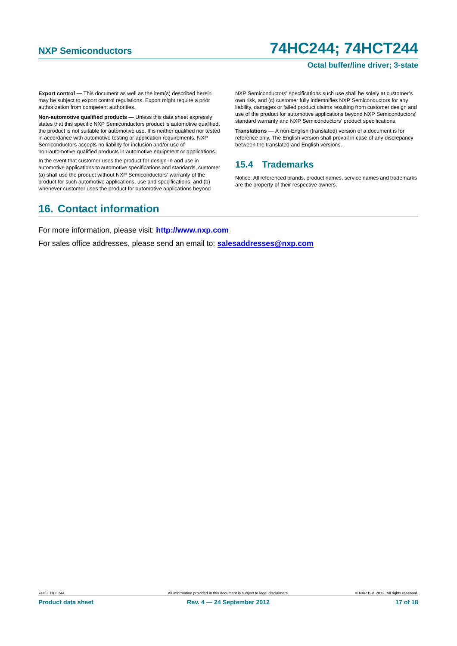#### **Octal buffer/line driver; 3-state**

**Export control —** This document as well as the item(s) described herein may be subject to export control regulations. Export might require a prior authorization from competent authorities.

**Non-automotive qualified products —** Unless this data sheet expressly states that this specific NXP Semiconductors product is automotive qualified, the product is not suitable for automotive use. It is neither qualified nor tested in accordance with automotive testing or application requirements. NXP Semiconductors accepts no liability for inclusion and/or use of non-automotive qualified products in automotive equipment or applications.

In the event that customer uses the product for design-in and use in automotive applications to automotive specifications and standards, customer (a) shall use the product without NXP Semiconductors' warranty of the product for such automotive applications, use and specifications, and (b) whenever customer uses the product for automotive applications beyond

NXP Semiconductors' specifications such use shall be solely at customer's own risk, and (c) customer fully indemnifies NXP Semiconductors for any liability, damages or failed product claims resulting from customer design and use of the product for automotive applications beyond NXP Semiconductors' standard warranty and NXP Semiconductors' product specifications.

**Translations —** A non-English (translated) version of a document is for reference only. The English version shall prevail in case of any discrepancy between the translated and English versions.

#### <span id="page-16-0"></span>**15.4 Trademarks**

Notice: All referenced brands, product names, service names and trademarks are the property of their respective owners.

# <span id="page-16-1"></span>**16. Contact information**

For more information, please visit: **http://www.nxp.com**

For sales office addresses, please send an email to: **salesaddresses@nxp.com**